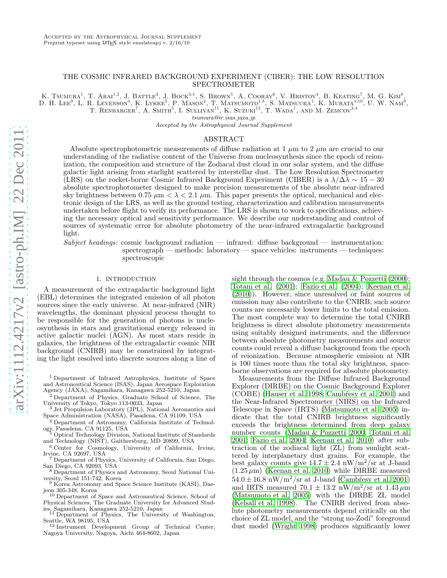# THE COSMIC INFRARED BACKGROUND EXPERIMENT (CIBER): THE LOW RESOLUTION SPECTROMETER

K. TSUMURA<sup>1</sup>, T. ARAI<sup>1,2</sup>, J. BATTLE<sup>3</sup>, J. BOCK<sup>3,4</sup>, S. BROWN<sup>5</sup>, A. COORAY<sup>6</sup>, V. HRISTOV<sup>4</sup>, B. KEATING<sup>7</sup>, M. G. KIM<sup>8</sup>, D. H. LEE<sup>9</sup>, L. R. Levenson<sup>4</sup>, K. Lykke<sup>5</sup>, P. Mason<sup>4</sup>, T. Matsumoto<sup>1,8</sup>, S. Matsuura<sup>1</sup>, K. Murata<sup>1,10</sup>, U. W. Nam<sup>9</sup>,

T. RENBARGER<sup>7</sup>, A. SMITH<sup>5</sup>, I. SULLIVAN<sup>11</sup>, K. SUZUKI<sup>12</sup>, T. WADA<sup>1</sup>, AND M. ZEMCOV<sup>3,4</sup>

tsumura@ir.isas.jaxa.jp

Accepted by the Astrophysical Journal Supplement

# ABSTRACT

Absolute spectrophotometric measurements of diffuse radiation at 1  $\mu$ m to 2  $\mu$ m are crucial to our understanding of the radiative content of the Universe from nucleosynthesis since the epoch of reionization, the composition and structure of the Zodiacal dust cloud in our solar system, and the diffuse galactic light arising from starlight scattered by interstellar dust. The Low Resolution Spectrometer (LRS) on the rocket-borne Cosmic Infrared Background Experiment (CIBER) is a  $\lambda/\Delta\lambda \sim 15-30$ absolute spectrophotometer designed to make precision measurements of the absolute near-infrared sky brightness between 0.75  $\mu$ m <  $\lambda$  < 2.1  $\mu$ m. This paper presents the optical, mechanical and electronic design of the LRS, as well as the ground testing, characterization and calibration measurements undertaken before flight to verify its performance. The LRS is shown to work to specifications, achieving the necessary optical and sensitivity performance. We describe our understanding and control of sources of systematic error for absolute photometry of the near-infrared extragalactic background light.

Subject headings: cosmic background radiation — infrared: diffuse background — instrumentation: spectrograph — methods: laboratory — space vehicles: instruments — techniques: spectroscopic

#### 1. INTRODUCTION

A measurement of the extragalactic background light (EBL) determines the integrated emission of all photon sources since the early universe. At near-infrared (NIR) wavelengths, the dominant physical process thought to be responsible for the generation of photons is nucleosynthesis in stars and gravitational energy released in active galactic nuclei (AGN). As most stars reside in galaxies, the brightness of the extragalactic cosmic NIR background (CNIRB) may be constrained by integrating the light resolved into discrete sources along a line of

<sup>3</sup> Jet Propulsion Laboratory (JPL), National Aeronautics and Space Administration (NASA), Pasadena, CA 91109, USA

- <sup>4</sup> Department of Astronomy, California Institute of Technology, Pasadena, CA 91125, USA
- <sup>5</sup> Optical Technology Division, National Institute of Standards and Technology (NIST), Gaithersburg, MD 20899, USA
- <sup>6</sup> Center for Cosmology, University of California, Irvine, Irvine, CA 92697, USA

<sup>7</sup> Department of Physics, University of California, San Diego, San Diego, CA 92093, USA

<sup>8</sup> Department of Physics and Astronomy, Seoul National University, Seoul 151-742, Korea

<sup>9</sup> Korea Astronomy and Space Science Institute (KASI), Dae-

jeon 305-348, Korea <sup>10</sup> Department of Space and Astronautical Science, School of Physical Sciences, The Graduate University for Advanced Stud-

ies, Sagamihara, Kanagawa 252-5210, Japan <sup>11</sup> Department of Physics, The University of Washington, Seattle, WA 98195, USA <sup>12</sup> Instrument Development Group of Technical Center,

Nagoya University, Nagoya, Aichi 464-8602, Japan

sight through the cosmos (e.g. [Madau & Pozzetti \(2000](#page-12-0)); [Totani et al. \(2001\)](#page-12-1); [Fazio ei al. \(2004](#page-11-0)); [Keenan et al.](#page-11-1) [\(2010\)](#page-11-1)). However, since unresolved or faint sources of emission may also contribute to the CNIRB, such source counts are necessarily lower limits to the total emission. The most complete way to determine the total CNIRB brightness is direct absolute photometry measurements using suitably designed instruments, and the difference between absolute photometry measurements and source counts could reveal a diffuse background from the epoch of reionization. Because atmospheric emission at NIR is 100 times more than the total sky brightness, spaceborne observations are required for absolute photometry.

Measurements from the Diffuse Infrared Background Explorer (DIRBE) on the Cosmic Background Explorer  $(COBE)$  [\(Hauser et al. 1998;](#page-11-2) Cambresy et al. 2001) and the Near-Infrared Spectrometer (NIRS) on the Infrared Telescope in Space (IRTS) [\(Matsumoto et al. 2005\)](#page-12-2) indicate that the total CNIRB brightness significantly exceeds the brightness determined from deep galaxy number counts [\(Madau & Pozzetti 2000;](#page-12-0) [Totani et al.](#page-12-1) [2001;](#page-12-1) [Fazio ei al. 2004;](#page-11-0) [Keenan et al. 2010](#page-11-1)) after subtraction of the zodiacal light (ZL) from sunlight scattered by interplanetary dust grains. For example, the best galaxy counts give  $14.7 \pm 2.4$  nW/m<sup>2</sup>/sr at J-band  $(1.25 \,\mu\text{m})$  [\(Keenan et al. 2010\)](#page-11-1) while DIRBE measured  $54.0 \pm 16.8$  nW/m<sup>2</sup>/sr at J-band (Cambresy et al. 2001) and IRTS measured  $70.1 \pm 13.2$  nW/m<sup>2</sup>/sr at  $1.43 \mu$ m [\(Matsumoto et al. 2005\)](#page-12-2) with the DIRBE ZL model [\(Kelsall et al. 1998\)](#page-11-4). The CNIRB derived from absolute photometry measurements depend critically on the choice of ZL model, and the "strong no-Zodi" foreground dust model [\(Wright 1998\)](#page-12-3) produces significantly lower

<sup>1</sup> Department of Infrared Astrophysics, Institute of Space and Astronoutical Science (ISAS), Japan Aerospace Exploration Agency (JAXA), Sagamihara, Kanagawa 252-5210, Japan

<sup>&</sup>lt;sup>2</sup> Department of Physics, Graduate School of Science, The University of Tokyo, Tokyo 113-0033, Japan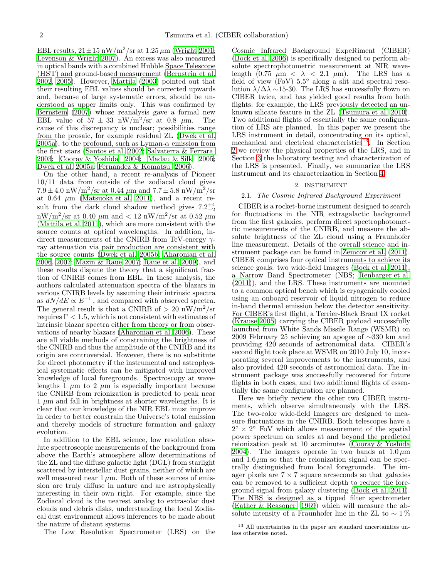EBL results,  $21 \pm 15$  nW/m<sup>2</sup>/sr at  $1.25 \,\mu$ m [\(Wright 2001;](#page-12-4) [Levenson & Wright 2007\)](#page-11-5). An excess was also measured in optical bands with a combined Hubble Space Telescope (HST) and ground-based measurement [\(Bernstein et al.](#page-11-6) [2002,](#page-11-6) [2005\)](#page-11-7). However, [Mattila \(2003](#page-12-5)) pointed out that their resulting EBL values should be corrected upwards and, because of large systematic errors, should be understood as upper limits only. This was confirmed by [Bernstein \(2007\)](#page-11-8) whose reanalysis gave a formal new EBL value of  $57 \pm 33$  nW/m<sup>2</sup>/sr at 0.8  $\mu$ m. The cause of this discrepancy is unclear; possibilities range from the prosaic, for example residual ZL [\(Dwek et al.](#page-11-9) [2005a\)](#page-11-9), to the profound, such as Lyman- $\alpha$  emission from the first stars [\(Santos et al. 2002](#page-12-6); [Salvaterra & Ferrara](#page-12-7) [2003;](#page-12-7) [Cooray & Yoshida 2004](#page-11-10); [Madau & Silk 2005;](#page-12-8) [Dwek et al. 2005a;](#page-11-9) [Fernandez & Komatsu 2006\)](#page-11-11).

On the other hand, a recent re-analysis of Pioneer 10/11 data from outside of the zodiacal cloud gives  $7.9 \pm 4.0 \text{ nW/m}^2/\text{sr}$  at 0.44  $\mu$ m and  $7.7 \pm 5.8 \text{ nW/m}^2/\text{sr}$ at  $0.64 \mu m$  [\(Matsuoka et al. 2011\)](#page-12-9), and a recent result from the dark cloud shadow method gives  $7.2^{+4}_{-2}$  $\text{mW/m}^2/\text{sr}$  at 0.40  $\mu$ m and  $\textless 12 \text{ mW/m}^2/\text{sr}$  at 0.52  $\mu$ m [\(Mattila et al. 2011](#page-12-10)), which are more consistent with the source counts at optical wavelengths. In addition, indirect measurements of the CNIRB from TeV-energy  $\gamma$ ray attenuation via pair production are consistent with the source counts [\(Dwek et al. 2005b;](#page-11-12) [Aharonian et al.](#page-11-13) [2006,](#page-11-13) [2007](#page-11-14); [Mazin & Raue 2007;](#page-12-11) [Raue et al. 2009\)](#page-12-12), and these results dispute the theory that a significant fraction of CNIRB comes from EBL. In these analysis, the authors calculated attenuation spectra of the blazars in various CNIRB levels by assuming their intrinsic spectra as  $dN/dE \propto E^{-\Gamma}$ , and compared with observed spectra. The general result is that a CNIRB of  $> 20 \text{ nW/m}^2/\text{sr}$ requires  $\Gamma$  < 1.5, which is not consistent with estimates of intrinsic blazar spectra either from theory or from observations of nearby blazars [\(Aharonian et al. 2006\)](#page-11-13). These are all viable methods of constraining the brightness of the CNIRB and thus the amplitude of the CNIRB and its origin are controversial. However, there is no substitute for direct photometry if the instrumental and astrophysical systematic effects can be mitigated with improved knowledge of local foregrounds. Spectroscopy at wavelengths 1  $\mu$ m to 2  $\mu$ m is especially important because the CNIRB from reionization is predicted to peak near  $1 \mu m$  and fall in brightness at shorter wavelengths. It is clear that our knowledge of the NIR EBL must improve in order to better constrain the Universe's total emission and thereby models of structure formation and galaxy evolution.

In addition to the EBL science, low resolution absolute spectroscopic measurements of the background from above the Earth's atmosphere allow determinations of the ZL and the diffuse galactic light (DGL) from starlight scattered by interstellar dust grains, neither of which are well measured near  $1 \mu$ m. Both of these sources of emission are truly diffuse in nature and are astrophysically interesting in their own right. For example, since the Zodiacal cloud is the nearest analog to extrasolar dust clouds and debris disks, understanding the local Zodiacal dust environment allows inferences to be made about the nature of distant systems.

The Low Resolution Spectrometer (LRS) on the

Cosmic Infrared Background ExpeRiment (CIBER) [\(Bock et al. 2006\)](#page-11-15) is specifically designed to perform absolute spectrophotometric measurement at NIR wavelength (0.75  $\mu$ m <  $\lambda$  < 2.1  $\mu$ m). The LRS has a field of view  $(FoV)$  5.5 $\degree$  along a slit and spectral resolution  $\lambda/\Delta\lambda \sim 15-30$ . The LRS has successfully flown on CIBER twice, and has yielded good results from both flights: for example, the LRS previously detected an unknown silicate feature in the ZL [\(Tsumura et al. 2010](#page-12-13)). Two additional flights of essentially the same configuration of LRS are planned. In this paper we present the LRS instrument in detail, concentrating on its optical, mechanical and electrical characteristics<sup>[13](#page-1-0)</sup>. In Section [2](#page-1-1) we review the physical properties of the LRS, and in Section [3](#page-3-0) the laboratory testing and characterization of the LRS is presented. Finally, we summarize the LRS instrument and its characterization in Section [4.](#page-11-16)

# 2. INSTRUMENT

# <span id="page-1-1"></span>2.1. The Cosmic Infrared Background Experiment

CIBER is a rocket-borne instrument designed to search for fluctuations in the NIR extragalactic background from the first galaxies, perform direct spectrophotometric measurements of the CNIRB, and measure the absolute brightness of the ZL cloud using a Fraunhofer line measurement. Details of the overall science and instrument package can be found in [Zemcov et al. \(2011](#page-12-14)). CIBER comprises four optical instruments to achieve its science goals: two wide-field Imagers [\(Bock et al. 2011](#page-11-17)), a Narrow Band Spectrometer (NBS; [Renbarger et al.](#page-12-15) [\(2011\)](#page-12-15)), and the LRS. These instruments are mounted to a common optical bench which is cryogenically cooled using an onboard reservoir of liquid nitrogen to reduce in-band thermal emission below the detector sensitivity. For CIBER's first flight, a Terrier-Black Brant IX rocket [\(Krause 2005\)](#page-11-18) carrying the CIBER payload successfully launched from White Sands Missile Range (WSMR) on 2009 February 25 achieving an apogee of ∼330 km and providing 420 seconds of astronomical data. CIBER's second flight took place at WSMR on 2010 July 10, incorporating several improvements to the instruments, and also provided 420 seconds of astronomical data. The instrument package was successfully recovered for future flights in both cases, and two additional flights of essentially the same configuration are planned.

Here we briefly review the other two CIBER instruments, which observe simultaneously with the LRS. The two-color wide-field Imagers are designed to measure fluctuations in the CNIRB. Both telescopes have a  $2^{\circ} \times 2^{\circ}$  FoV which allows measurement of the spatial power spectrum on scales at and beyond the predicted reionization peak at 10 arcminutes [\(Cooray & Yoshida](#page-11-10) [2004\)](#page-11-10). The imagers operate in two bands at  $1.0 \,\mu\text{m}$ and  $1.6 \mu m$  so that the reionization signal can be spectrally distinguished from local foregrounds. The imager pixels are  $7 \times 7$  square arcseconds so that galaxies can be removed to a sufficient depth to reduce the foreground signal from galaxy clustering [\(Bock et al. 2011](#page-11-17)). The NBS is designed as a tipped filter spectrometer [\(Eather & Reasoner 1969\)](#page-11-19) which will measure the absolute intensity of a Fraunhofer line in the ZL to  $\sim 1\%$ 

<span id="page-1-0"></span><sup>13</sup> All uncertainties in the paper are standard uncertainties unless otherwise noted.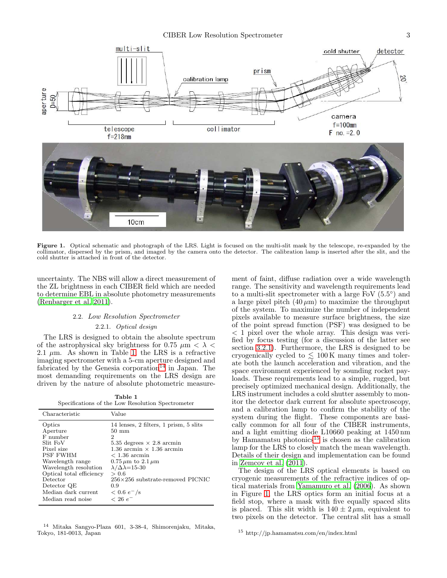

<span id="page-2-3"></span>Figure 1. Optical schematic and photograph of the LRS. Light is focused on the multi-slit mask by the telescope, re-expanded by the collimator, dispersed by the prism, and imaged by the camera onto the detector. The calibration lamp is inserted after the slit, and the cold shutter is attached in front of the detector.

uncertainty. The NBS will allow a direct measurement of the ZL brightness in each CIBER field which are needed to determine EBL in absolute photometry measurements [\(Renbarger et al. 2011](#page-12-15)).

# 2.2. Low Resolution Spectrometer

#### 2.2.1. Optical design

The LRS is designed to obtain the absolute spectrum of the astrophysical sky brightness for 0.75  $\mu$ m <  $\lambda$  < 2.1  $\mu$ m. As shown in Table [1,](#page-2-0) the LRS is a refractive imaging spectrometer with a 5-cm aperture designed and fabricated by the Genesia corporation<sup>[14](#page-2-1)</sup> in Japan. The most demanding requirements on the LRS design are driven by the nature of absolute photometric measure-

Table 1 Specifications of the Low Resolution Spectrometer

<span id="page-2-0"></span>

| Characteristic           | Value                                   |
|--------------------------|-----------------------------------------|
| Optics                   | 14 lenses, 2 filters, 1 prism, 5 slits  |
| Aperture                 | $50 \text{ mm}$                         |
| F number                 | 2                                       |
| Slit FoV                 | 5.35 degrees $\times$ 2.8 arcmin        |
| Pixel size               | $1.36$ arcmin $\times$ 1.36 arcmin      |
| <b>PSF FWHM</b>          | $< 1.36$ arcmin                         |
| Wavelength range         | $0.75 \mu m$ to $2.1 \mu m$             |
| Wavelength resolution    | $\lambda/\Delta\lambda$ =15-30          |
| Optical total efficiency | > 0.6                                   |
| Detector                 | $256\times256$ substrate-removed PICNIC |
| Detector QE              | 0.9                                     |
| Median dark current      | $< 0.6 e^-$ /s                          |
| Median read noise        | $< 26 e^-$                              |

<span id="page-2-1"></span><sup>14</sup> Mitaka Sangyo-Plaza 601, 3-38-4, Shimorenjaku, Mitaka, Tokyo, 181-0013, Japan

ment of faint, diffuse radiation over a wide wavelength range. The sensitivity and wavelength requirements lead to a multi-slit spectrometer with a large FoV  $(5.5^{\circ})$  and a large pixel pitch  $(40 \,\mu\text{m})$  to maximize the throughput of the system. To maximize the number of independent pixels available to measure surface brightness, the size of the point spread function (PSF) was designed to be < 1 pixel over the whole array. This design was verified by focus testing (for a discussion of the latter see section [3.2.1\)](#page-5-0). Furthermore, the LRS is designed to be cryogenically cycled to  $\leq 100 \,\mathrm{K}$  many times and tolerate both the launch acceleration and vibration, and the space environment experienced by sounding rocket payloads. These requirements lead to a simple, rugged, but precisely optimized mechanical design. Additionally, the LRS instrument includes a cold shutter assembly to monitor the detector dark current for absolute spectroscopy, and a calibration lamp to confirm the stability of the system during the flight. These components are basically common for all four of the CIBER instruments, and a light emitting diode L10660 peaking at 1450 nm by Hamamatsu photonics<sup>[15](#page-2-2)</sup> is chosen as the calibration lamp for the LRS to closely match the mean wavelength. Details of their design and implementation can be found in [Zemcov et al. \(2011\)](#page-12-14).

The design of the LRS optical elements is based on cryogenic measurements of the refractive indices of optical materials from [Yamamuro et al. \(2006\)](#page-12-16). As shown in Figure [1,](#page-2-3) the LRS optics form an initial focus at a field stop, where a mask with five equally spaced slits is placed. This slit width is  $140 \pm 2 \,\mu \text{m}$ , equivalent to two pixels on the detector. The central slit has a small

<span id="page-2-2"></span><sup>15</sup> http://jp.hamamatsu.com/en/index.html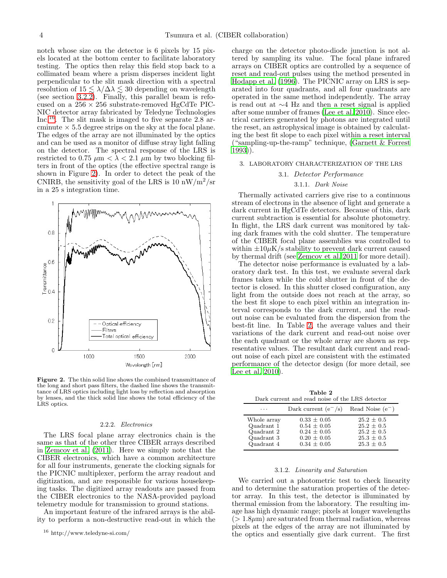notch whose size on the detector is 6 pixels by 15 pixels located at the bottom center to facilitate laboratory testing. The optics then relay this field stop back to a collimated beam where a prism disperses incident light perpendicular to the slit mask direction with a spectral resolution of  $15 \lesssim \lambda/\Delta\lambda \lesssim 30$  depending on wavelength (see section [3.2.2\)](#page-6-0). Finally, this parallel beam is refocused on a  $256 \times 256$  substrate-removed HgCdTe PIC-NIC detector array fabricated by Teledyne Technologies Inc.<sup>[16](#page-3-1)</sup>. The slit mask is imaged to five separate 2.8 arcminute  $\times$  5.5 degree strips on the sky at the focal plane. The edges of the array are not illuminated by the optics and can be used as a monitor of diffuse stray light falling on the detector. The spectral response of the LRS is restricted to 0.75  $\mu$ m  $< \lambda < 2.1 \mu$ m by two blocking filters in front of the optics (the effective spectral range is shown in Figure [2\)](#page-3-2). In order to detect the peak of the CNIRB, the sensitivity goal of the LRS is 10  $\rm nW/m^2/sr$ in a 25 s integration time.



<span id="page-3-2"></span>Figure 2. The thin solid line shows the combined transmittance of the long and short pass filters, the dashed line shows the transmittance of LRS optics including light loss by reflection and absorption by lenses, and the thick solid line shows the total efficiency of the LRS optics.

#### 2.2.2. Electronics

The LRS focal plane array electronics chain is the same as that of the other three CIBER arrays described in [Zemcov et al. \(2011\)](#page-12-14). Here we simply note that the CIBER electronics, which have a common architecture for all four instruments, generate the clocking signals for the PICNIC multiplexer, perform the array readout and digitization, and are responsible for various housekeeping tasks. The digitized array readouts are passed from the CIBER electronics to the NASA-provided payload telemetry module for transmission to ground stations.

An important feature of the infrared arrays is the ability to perform a non-destructive read-out in which the charge on the detector photo-diode junction is not altered by sampling its value. The focal plane infrared arrays on CIBER optics are controlled by a sequence of reset and read-out pulses using the method presented in [Hodapp et al. \(1996](#page-11-20)). The PICNIC array on LRS is separated into four quadrants, and all four quadrants are operated in the same method independently. The array is read out at ∼4 Hz and then a reset signal is applied after some number of frames [\(Lee et al. 2010\)](#page-11-21). Since electrical carriers generated by photons are integrated until the reset, an astrophysical image is obtained by calculating the best fit slope to each pixel within a reset interval ("sampling-up-the-ramp" technique, [\(Garnett & Forrest](#page-11-22) [1993\)](#page-11-22)).

### <span id="page-3-0"></span>3. LABORATORY CHARACTERIZATION OF THE LRS

### 3.1. Detector Performance

## 3.1.1. Dark Noise

Thermally activated carriers give rise to a continuous stream of electrons in the absence of light and generate a dark current in HgCdTe detectors. Because of this, dark current subtraction is essential for absolute photometry. In flight, the LRS dark current was monitored by taking dark frames with the cold shutter. The temperature of the CIBER focal plane assemblies was controlled to within  $\pm 10 \mu$ K/s stability to prevent dark current caused by thermal drift (see [Zemcov et al. 2011](#page-12-14) for more detail).

The detector noise performance is evaluated by a laboratory dark test. In this test, we evaluate several dark frames taken while the cold shutter in front of the detector is closed. In this shutter closed configuration, any light from the outside does not reach at the array, so the best fit slope to each pixel within an integration interval corresponds to the dark current, and the readout noise can be evaluated from the dispersion from the best-fit line. In Table [2,](#page-3-3) the average values and their variations of the dark current and read-out noise over the each quadrant or the whole array are shown as representative values. The resultant dark current and readout noise of each pixel are consistent with the estimated performance of the detector design (for more detail, see [Lee et al. 2010\)](#page-11-21).

Table 2 Dark current and read noise of the LRS detector

<span id="page-3-3"></span>

| Darit current and read noise or the Brus detector                   |                                                                                             |                                                                                        |
|---------------------------------------------------------------------|---------------------------------------------------------------------------------------------|----------------------------------------------------------------------------------------|
| .                                                                   | Dark current $(e^-/s)$                                                                      | Read Noise $(e^-)$                                                                     |
| Whole array<br>Quadrant 1<br>Quadrant 2<br>Quadrant 3<br>Quadrant 4 | $0.33 \pm 0.05$<br>$0.54 \pm 0.05$<br>$0.24 \pm 0.05$<br>$0.20 \pm 0.05$<br>$0.34 \pm 0.05$ | $25.2 \pm 0.5$<br>$25.2 \pm 0.5$<br>$25.2 \pm 0.5$<br>$25.3 \pm 0.5$<br>$25.3 \pm 0.5$ |

# 3.1.2. Linearity and Saturation

We carried out a photometric test to check linearity and to determine the saturation properties of the detector array. In this test, the detector is illuminated by thermal emission from the laboratory. The resulting image has high dynamic range; pixels at longer wavelengths  $(> 1.8 \mu m)$  are saturated from thermal radiation, whereas pixels at the edges of the array are not illuminated by the optics and essentially give dark current. The first

<span id="page-3-1"></span><sup>16</sup> http://www.teledyne-si.com/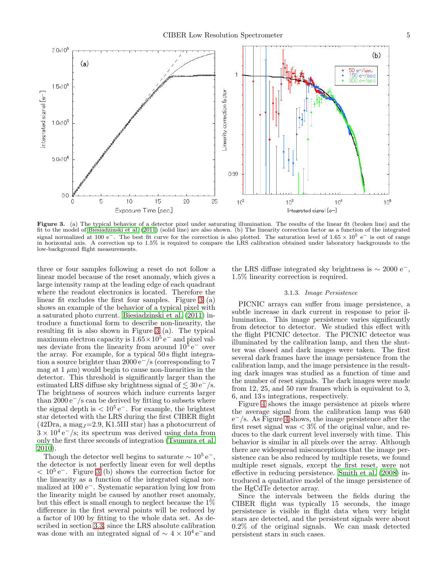

<span id="page-4-0"></span>Figure 3. (a) The typical behavior of a detector pixel under saturating illumination. The results of the linear fit (broken line) and the fit to the model of [Biesiadzinski et al. \(2011](#page-11-23)) (solid line) are also shown. (b) The linearity correction factor as a function of the integrated signal normalized at 100 e<sup>-</sup>. The best fit curve for the correction is also plotted. The saturation level of 1.65 × 10<sup>5</sup> e<sup>-</sup> is out of range in horizontal axis. A correction up to 1.5% is required to compare the LRS calibration obtained under laboratory backgrounds to the low-background flight measurements.

three or four samples following a reset do not follow a linear model because of the reset anomaly, which gives a large intensity ramp at the leading edge of each quadrant where the readout electronics is located. Therefore the linear fit excludes the first four samples. Figure [3](#page-4-0) (a) shows an example of the behavior of a typical pixel with a saturated photo current. [Biesiadzinski et al. \(2011\)](#page-11-23) introduce a functional form to describe non-linearity, the resulting fit is also shown in Figure [3](#page-4-0) (a). The typical maximum electron capacity is  $1.65 \times 10^5$  e<sup>-</sup> and pixel values deviate from the linearity from around  $10^5$  e<sup>-</sup> over the array. For example, for a typical 50s flight integration a source brighter than 2000 e<sup>−</sup>/s (corresponding to 7 mag at  $1 \mu m$ ) would begin to cause non-linearities in the detector. This threshold is significantly larger than the estimated LRS diffuse sky brightness signal of  $\lesssim 30 \,\mathrm{e^-}/\mathrm{s}$ . The brightness of sources which induce currents larger than  $2000 e^-$ /s can be derived by fitting to subsets where the signal depth is  $\langle 10^5 e^{-} \rangle$ . For example, the brightest star detected with the LRS during the first CIBER flight  $(42Dra, a mag_J=2.9, K1.5III star)$  has a photocurrent of  $3 \times 10^4$  e<sup>-</sup>/s; its spectrum was derived using data from only the first three seconds of integration [\(Tsumura et al.](#page-12-13) [2010\)](#page-12-13).

Though the detector well begins to saturate  $\sim 10^5 e^-$ , the detector is not perfectly linear even for well depths  $< 10<sup>5</sup>$  e<sup>-</sup>. Figure [3](#page-4-0) (b) shows the correction factor for the linearity as a function of the integrated signal normalized at 100 e<sup>−</sup>. Systematic separation lying low from the linearity might be caused by another reset anomaly, but this effect is small enough to neglect because the 1% difference in the first several points will be reduced by a factor of 100 by fitting to the whole data set. As described in section [3.3,](#page-8-0) since the LRS absolute calibration was done with an integrated signal of  $\sim 4 \times 10^4$  e<sup>-</sup>and

the LRS diffuse integrated sky brightness is  $\sim 2000 e^{-}$ , 1.5% linearity correction is required.

# 3.1.3. Image Persistence

PICNIC arrays can suffer from image persistence, a subtle increase in dark current in response to prior illumination. This image persistence varies significantly from detector to detector. We studied this effect with the flight PICNIC detector. The PICNIC detector was illuminated by the calibration lamp, and then the shutter was closed and dark images were taken. The first several dark frames have the image persistence from the calibration lamp, and the image persistence in the resulting dark images was studied as a function of time and the number of reset signals. The dark images were made from 12, 25, and 50 raw frames which is equivalent to 3, 6, and 13 s integrations, respectively.

Figure [4](#page-5-1) shows the image persistence at pixels where the average signal from the calibration lamp was 640 e <sup>−</sup>/s. As Figure [4](#page-5-1) shows, the image persistence after the first reset signal was  $\langle 3\%$  of the original value, and reduces to the dark current level inversely with time. This behavior is similar in all pixels over the array. Although there are widespread misconceptions that the image persistence can be also reduced by multiple resets, we found multiple reset signals, except the first reset, were not effective in reducing persistence. [Smith et al. \(2008\)](#page-12-17) introduced a qualitative model of the image persistence of the HgCdTe detector array.

Since the intervals between the fields during the CIBER flight was typically 15 seconds, the image persistence is visible in flight data when very bright stars are detected, and the persistent signals were about 0.2% of the original signals. We can mask detected persistent stars in such cases.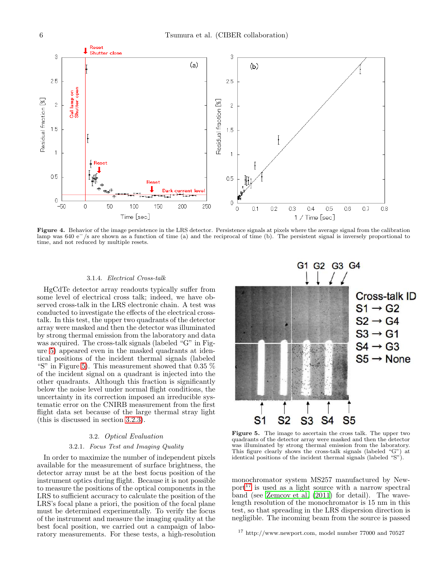

<span id="page-5-1"></span>Figure 4. Behavior of the image persistence in the LRS detector. Persistence signals at pixels where the average signal from the calibration lamp was 640 e−/s are shown as a function of time (a) and the reciprocal of time (b). The persistent signal is inversely proportional to time, and not reduced by multiple resets.

### 3.1.4. Electrical Cross-talk

HgCdTe detector array readouts typically suffer from some level of electrical cross talk; indeed, we have observed cross-talk in the LRS electronic chain. A test was conducted to investigate the effects of the electrical crosstalk. In this test, the upper two quadrants of the detector array were masked and then the detector was illuminated by strong thermal emission from the laboratory and data was acquired. The cross-talk signals (labeled "G" in Figure [5\)](#page-5-2) appeared even in the masked quadrants at identical positions of the incident thermal signals (labeled "S" in Figure [5\)](#page-5-2). This measurement showed that  $0.35\%$ of the incident signal on a quadrant is injected into the other quadrants. Although this fraction is significantly below the noise level under normal flight conditions, the uncertainty in its correction imposed an irreducible systematic error on the CNIRB measurement from the first flight data set because of the large thermal stray light (this is discussed in section [3.2.3\)](#page-6-1).

### 3.2. Optical Evaluation

#### 3.2.1. Focus Test and Imaging Quality

<span id="page-5-0"></span>In order to maximize the number of independent pixels available for the measurement of surface brightness, the detector array must be at the best focus position of the instrument optics during flight. Because it is not possible to measure the positions of the optical components in the LRS to sufficient accuracy to calculate the position of the LRS's focal plane a priori, the position of the focal plane must be determined experimentally. To verify the focus of the instrument and measure the imaging quality at the best focal position, we carried out a campaign of laboratory measurements. For these tests, a high-resolution



<span id="page-5-2"></span>Figure 5. The image to ascertain the cross talk. The upper two quadrants of the detector array were masked and then the detector was illuminated by strong thermal emission from the laboratory. This figure clearly shows the cross-talk signals (labeled "G") at identical positions of the incident thermal signals (labeled "S").

monochromator system MS257 manufactured by New- $port^{17}$  $port^{17}$  $port^{17}$  is used as a light source with a narrow spectral band (see [Zemcov et al. \(2011\)](#page-12-14) for detail). The wavelength resolution of the monochromator is 15 nm in this test, so that spreading in the LRS dispersion direction is negligible. The incoming beam from the source is passed

<span id="page-5-3"></span><sup>17</sup> http://www.newport.com, model number 77000 and 70527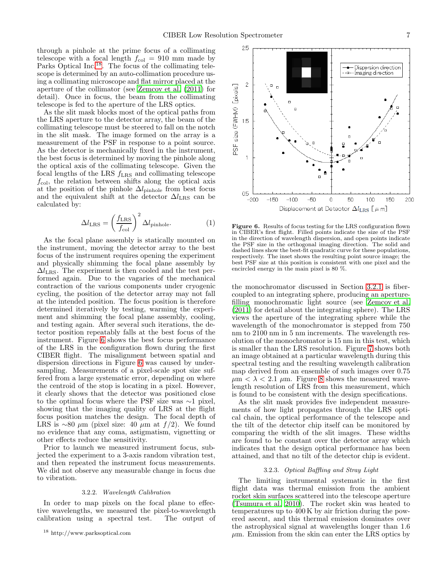2.5

through a pinhole at the prime focus of a collimating telescope with a focal length  $f_{\text{col}} = 910$  mm made by Parks Optical Inc.<sup>[18](#page-6-2)</sup>. The focus of the collimating telescope is determined by an auto-collimation procedure using a collimating microscope and flat mirror placed at the aperture of the collimator (see [Zemcov et al. \(2011\)](#page-12-14) for detail). Once in focus, the beam from the collimating telescope is fed to the aperture of the LRS optics.

As the slit mask blocks most of the optical paths from the LRS aperture to the detector array, the beam of the collimating telescope must be steered to fall on the notch in the slit mask. The image formed on the array is a measurement of the PSF in response to a point source. As the detector is mechanically fixed in the instrument, the best focus is determined by moving the pinhole along the optical axis of the collimating telescope. Given the focal lengths of the LRS  $f_{\text{LRS}}$  and collimating telescope  $f_{\text{col}}$ , the relation between shifts along the optical axis at the position of the pinhole  $\Delta l_{\text{pinhole}}$  from best focus and the equivalent shift at the detector  $\Delta l_{\text{LRS}}$  can be calculated by:

$$
\Delta l_{\text{LRS}} = \left(\frac{f_{\text{LRS}}}{f_{\text{col}}}\right)^2 \Delta l_{\text{pinhole}}.\tag{1}
$$

As the focal plane assembly is statically mounted on the instrument, moving the detector array to the best focus of the instrument requires opening the experiment and physically shimming the focal plane assembly by  $\Delta l_{\text{LRS}}$ . The experiment is then cooled and the test performed again. Due to the vagaries of the mechanical contraction of the various components under cryogenic cycling, the position of the detector array may not fall at the intended position. The focus position is therefore determined iteratively by testing, warming the experiment and shimming the focal plane assembly, cooling, and testing again. After several such iterations, the detector position repeatably falls at the best focus of the instrument. Figure [6](#page-6-3) shows the best focus performance of the LRS in the configuration flown during the first CIBER flight. The misalignment between spatial and dispersion directions in Figure [6](#page-6-3) was caused by undersampling. Measurements of a pixel-scale spot size suffered from a large systematic error, depending on where the centroid of the stop is locating in a pixel. However, it clearly shows that the detector was positioned close to the optimal focus where the PSF size was ∼1 pixel, showing that the imaging quality of LRS at the flight focus position matches the design. The focal depth of LRS is ∼80  $\mu$ m (pixel size: 40  $\mu$ m at  $f/2$ ). We found no evidence that any coma, astigmatism, vignetting or other effects reduce the sensitivity.

Prior to launch we measured instrument focus, subjected the experiment to a 3-axis random vibration test, and then repeated the instrument focus measurements. We did not observe any measurable change in focus due to vibration.

#### 3.2.2. Wavelength Calibration

<span id="page-6-0"></span>In order to map pixels on the focal plane to effective wavelengths, we measured the pixel-to-wavelength calibration using a spectral test. The output of

Dispersion direction -B-- Imaging direction  $\overline{c}$  $[$ akels $]$ PSF size (FWHM) F 1.5 0.5  $-200$  $-150$  $-100$ -50 50 100 150 200 0 Displacement at Detector  $\Delta l_{\rm LRS}$  [ $\mu$  m]

<span id="page-6-3"></span>Figure 6. Results of focus testing for the LRS configuration flown in CIBER's first flight. Filled points indicate the size of the PSF in the direction of wavelength dispersion, and open points indicate the PSF size in the orthogonal imaging direction. The solid and dashed lines show the best-fit quadratic curve for these populations, respectively. The inset shows the resulting point source image; the best PSF size at this position is consistent with one pixel and the encircled energy in the main pixel is 80 %.

the monochromator discussed in Section [3.2.1](#page-5-0) is fibercoupled to an integrating sphere, producing an aperturefilling monochromatic light source (see [Zemcov et al.](#page-12-14) [\(2011\)](#page-12-14) for detail about the integrating sphere). The LRS views the aperture of the integrating sphere while the wavelength of the monochromator is stepped from 750 nm to 2100 nm in 5 nm increments. The wavelength resolution of the monochromator is 15 nm in this test, which is smaller than the LRS resolution. Figure [7](#page-7-0) shows both an image obtained at a particular wavelength during this spectral testing and the resulting wavelength calibration map derived from an ensemble of such images over 0.75  $\mu$ m  $< \lambda < 2.1$   $\mu$ m. Figure [8](#page-7-1) shows the measured wavelength resolution of LRS from this measurement, which is found to be consistent with the design specifications.

As the slit mask provides five independent measurements of how light propagates through the LRS optical chain, the optical performance of the telescope and the tilt of the detector chip itself can be monitored by comparing the width of the slit images. These widths are found to be constant over the detector array which indicates that the design optical performance has been attained, and that no tilt of the detector chip is evident.

# 3.2.3. Optical Baffling and Stray Light

<span id="page-6-1"></span>The limiting instrumental systematic in the first flight data was thermal emission from the ambient rocket skin surfaces scattered into the telescope aperture [\(Tsumura et al. 2010\)](#page-12-13). The rocket skin was heated to temperatures up to 400 K by air friction during the powered ascent, and this thermal emission dominates over the astrophysical signal at wavelengths longer than 1.6  $\mu$ m. Emission from the skin can enter the LRS optics by

<span id="page-6-2"></span><sup>18</sup> http://www.parksoptical.com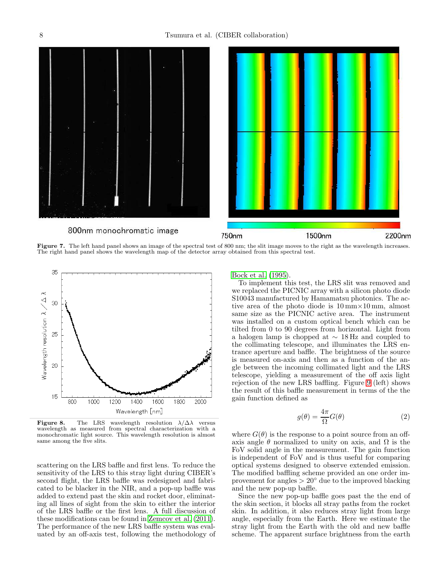

<span id="page-7-0"></span>Figure 7. The left hand panel shows an image of the spectral test of 800 nm; the slit image moves to the right as the wavelength increases. The right hand panel shows the wavelength map of the detector array obtained from this spectral test.



<span id="page-7-1"></span>**Figure 8.** The LRS wavelength resolution  $\lambda/\Delta\lambda$  versus wavelength as measured from spectral characterization with a monochromatic light source. This wavelength resolution is almost same among the five slits.

scattering on the LRS baffle and first lens. To reduce the sensitivity of the LRS to this stray light during CIBER's second flight, the LRS baffle was redesigned and fabricated to be blacker in the NIR, and a pop-up baffle was added to extend past the skin and rocket door, eliminating all lines of sight from the skin to either the interior of the LRS baffle or the first lens. A full discussion of these modifications can be found in [Zemcov et al. \(2011\)](#page-12-14). The performance of the new LRS baffle system was evaluated by an off-axis test, following the methodology of [Bock et al. \(1995\)](#page-11-24).

To implement this test, the LRS slit was removed and we replaced the PICNIC array with a silicon photo diode S10043 manufactured by Hamamatsu photonics. The active area of the photo diode is  $10 \text{ mm} \times 10 \text{ mm}$ , almost same size as the PICNIC active area. The instrument was installed on a custom optical bench which can be tilted from 0 to 90 degrees from horizontal. Light from a halogen lamp is chopped at ∼ 18 Hz and coupled to the collimating telescope, and illuminates the LRS entrance aperture and baffle. The brightness of the source is measured on-axis and then as a function of the angle between the incoming collimated light and the LRS telescope, yielding a measurement of the off axis light rejection of the new LRS baffling. Figure [9](#page-8-1) (left) shows the result of this baffle measurement in terms of the the gain function defined as

$$
g(\theta) = \frac{4\pi}{\Omega} G(\theta)
$$
 (2)

where  $G(\theta)$  is the response to a point source from an offaxis angle  $\theta$  normalized to unity on axis, and  $\Omega$  is the FoV solid angle in the measurement. The gain function is independent of FoV and is thus useful for comparing optical systems designed to observe extended emission. The modified baffling scheme provided an one order improvement for angles  $> 20°$  due to the improved blacking and the new pop-up baffle.

Since the new pop-up baffle goes past the the end of the skin section, it blocks all stray paths from the rocket skin. In addition, it also reduces stray light from large angle, especially from the Earth. Here we estimate the stray light from the Earth with the old and new baffle scheme. The apparent surface brightness from the earth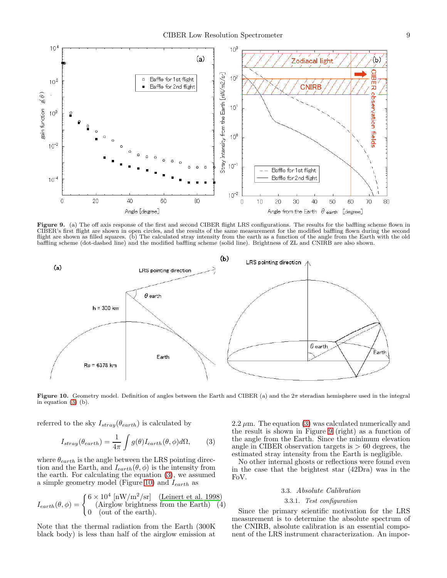

<span id="page-8-1"></span>Figure 9. (a) The off axis response of the first and second CIBER flight LRS configurations. The results for the baffling scheme flown in CIBER's first flight are shown in open circles, and the results of the same measurement for the modified baffling flown during the second flight are shown as filled squares. (b) The calculated stray intensity from the earth as a function of the angle from the Earth with the old baffling scheme (dot-dashed line) and the modified baffling scheme (solid line). Brightness of ZL and CNIRB are also shown.



<span id="page-8-3"></span>Figure 10. Geometry model. Definition of angles between the Earth and CIBER (a) and the  $2\pi$  steradian hemisphere used in the integral in equation [\(3\)](#page-8-2) (b).

referred to the sky  $I_{stray}(\theta_{earth})$  is calculated by

<span id="page-8-2"></span>
$$
I_{stray}(\theta_{earth}) = \frac{1}{4\pi} \int g(\theta) I_{earth}(\theta, \phi) d\Omega, \qquad (3)
$$

where  $\theta_{earth}$  is the angle between the LRS pointing direction and the Earth, and  $I_{earth}(\theta, \phi)$  is the intensity from the earth. For calculating the equation [\(3\)](#page-8-2), we assumed a simple geometry model (Figure [10\)](#page-8-3) and  $I_{earth}$  as

$$
I_{earth}(\theta, \phi) = \begin{cases} 6 \times 10^4 \text{ [nW/m}^2/\text{sr}] & \text{(Leinert et al. 1998)}\\ 0 & \text{(Airglow brightness from the Earth)} \quad (4) \\ 0 & \text{(out of the earth)} \end{cases}
$$

Note that the thermal radiation from the Earth (300K black body) is less than half of the airglow emission at

2.2  $\mu$ m. The equation [\(3\)](#page-8-2) was calculated numerically and the result is shown in Figure [9](#page-8-1) (right) as a function of the angle from the Earth. Since the minimum elevation angle in CIBER observation targets is  $> 60$  degrees, the estimated stray intensity from the Earth is negligible.

<span id="page-8-0"></span>No other internal ghosts or reflections were found even in the case that the brightest star (42Dra) was in the FoV.

# 3.3. Absolute Calibration

# 3.3.1. Test configuration

Since the primary scientific motivation for the LRS measurement is to determine the absolute spectrum of the CNIRB, absolute calibration is an essential component of the LRS instrument characterization. An impor-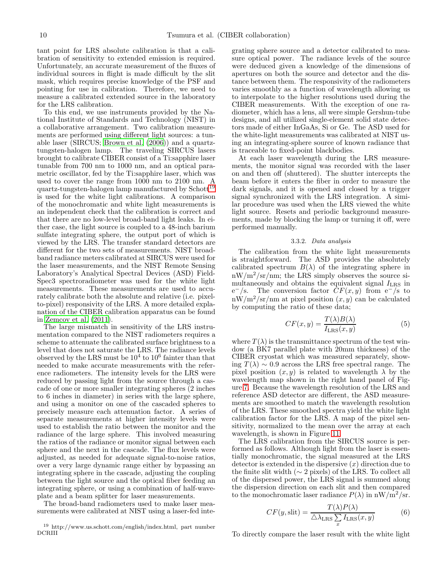tant point for LRS absolute calibration is that a calibration of sensitivity to extended emission is required. Unfortunately, an accurate measurement of the fluxes of individual sources in flight is made difficult by the slit mask, which requires precise knowledge of the PSF and pointing for use in calibration. Therefore, we need to measure a calibrated extended source in the laboratory for the LRS calibration.

To this end, we use instruments provided by the National Institute of Standards and Technology (NIST) in a collaborative arrangement. Two calibration measurements are performed using different light sources: a tunable laser (SIRCUS; [Brown et al. \(2006\)](#page-11-26)) and a quartztungsten-halogen lamp. The traveling SIRCUS lasers brought to calibrate CIBER consist of a Ti:sapphire laser tunable from 700 nm to 1000 nm, and an optical parametric oscillator, fed by the Ti:sapphire laser, which was used to cover the range from 1000 nm to 2100 nm. A quartz-tungsten-halogen lamp manufactured by  $\text{Schott}^{\overline{19}}$  $\text{Schott}^{\overline{19}}$  $\text{Schott}^{\overline{19}}$ is used for the white light calibrations. A comparison of the monochromatic and white light measurements is an independent check that the calibration is correct and that there are no low-level broad-band light leaks. In either case, the light source is coupled to a 48-inch barium sulfate integrating sphere, the output port of which is viewed by the LRS. The transfer standard detectors are different for the two sets of measurements. NIST broadband radiance meters calibrated at SIRCUS were used for the laser measurements, and the NIST Remote Sensing Laboratory's Analytical Spectral Devices (ASD) Field-Spec3 spectroradiometer was used for the white light measurements. These measurements are used to accurately calibrate both the absolute and relative (i.e. pixelto-pixel) responsivity of the LRS. A more detailed explanation of the CIBER calibration apparatus can be found in [Zemcov et al. \(2011](#page-12-14)).

The large mismatch in sensitivity of the LRS instrumentation compared to the NIST radiometers requires a scheme to attenuate the calibrated surface brightness to a level that does not saturate the LRS. The radiance levels observed by the LRS must be  $10^4$  to  $10^6$  fainter than that needed to make accurate measurements with the reference radiometers. The intensity levels for the LRS were reduced by passing light from the source through a cascade of one or more smaller integrating spheres (2 inches to 6 inches in diameter) in series with the large sphere, and using a monitor on one of the cascaded spheres to precisely measure each attenuation factor. A series of separate measurements at higher intensity levels were used to establish the ratio between the monitor and the radiance of the large sphere. This involved measuring the ratios of the radiance or monitor signal between each sphere and the next in the cascade. The flux levels were adjusted, as needed for adequate signal-to-noise ratios, over a very large dynamic range either by bypassing an integrating sphere in the cascade, adjusting the coupling between the light source and the optical fiber feeding an integrating sphere, or using a combination of half-waveplate and a beam splitter for laser measurements.

The broad-band radiometers used to make laser measurements were calibrated at NIST using a laser-fed inte-

grating sphere source and a detector calibrated to measure optical power. The radiance levels of the source were deduced given a knowledge of the dimensions of apertures on both the source and detector and the distance between them. The responsivity of the radiometers varies smoothly as a function of wavelength allowing us to interpolate to the higher resolutions used during the CIBER measurements. With the exception of one radiometer, which has a lens, all were simple Gershun-tube designs, and all utilized single-element solid state detectors made of either InGaAs, Si or Ge. The ASD used for the white-light measurements was calibrated at NIST using an integrating-sphere source of known radiance that is traceable to fixed-point blackbodies.

At each laser wavelength during the LRS measurements, the monitor signal was recorded with the laser on and then off (shuttered). The shutter intercepts the beam before it enters the fiber in order to measure the dark signals, and it is opened and closed by a trigger signal synchronized with the LRS integration. A similar procedure was used when the LRS viewed the white light source. Resets and periodic background measurements, made by blocking the lamp or turning it off, were performed manually.

# 3.3.2. Data analysis

The calibration from the white light measurements is straightforward. The ASD provides the absolutely calibrated spectrum  $B(\lambda)$  of the integrating sphere in  $\rm{mW/m^2/sr/mm}$ ; the LRS simply observes the source simultaneously and obtains the equivalent signal  $I_{\text{LRS}}$  in  $e^{-}/s$ . The conversion factor  $CF(x, y)$  from  $e^{-}/s$  to  $\text{mW/m}^2/\text{sr/nm}$  at pixel position  $(x, y)$  can be calculated by computing the ratio of these data;

$$
CF(x, y) = \frac{T(\lambda)B(\lambda)}{I_{\text{LRS}}(x, y)}
$$
(5)

where  $T(\lambda)$  is the transmittance spectrum of the test window (a BK7 parallel plate with 20mm thickness) of the CIBER cryostat which was measured separately, showing  $T(\lambda) \sim 0.9$  across the LRS free spectral range. The pixel position  $(x, y)$  is related to wavelength  $\lambda$  by the wavelength map shown in the right hand panel of Figure [7.](#page-7-0) Because the wavelength resolution of the LRS and reference ASD detector are different, the ASD measurements are smoothed to match the wavelength resolution of the LRS. These smoothed spectra yield the white light calibration factor for the LRS. A map of the pixel sensitivity, normalized to the mean over the array at each wavelength, is shown in Figure [11.](#page-10-0)

The LRS calibration from the SIRCUS source is performed as follows. Although light from the laser is essentially monochromatic, the signal measured at the LRS detector is extended in the dispersive  $(x)$  direction due to the finite slit width ( $\sim$  2 pixels) of the LRS. To collect all of the dispersed power, the LRS signal is summed along the dispersion direction on each slit and then compared to the monochromatic laser radiance  $P(\lambda)$  in nW/m<sup>2</sup>/sr.

$$
CF(y, slit) = \frac{T(\lambda)P(\lambda)}{\Delta\lambda_{\text{LRS}}\sum_{x}I_{\text{LRS}}(x, y)}
$$
(6)

To directly compare the laser result with the white light

<span id="page-9-0"></span><sup>19</sup> http://www.us.schott.com/english/index.html, part number DCRIII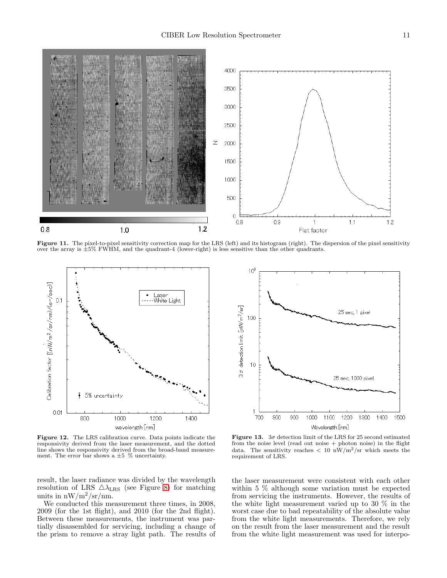

<span id="page-10-0"></span>Figure 11. The pixel-to-pixel sensitivity correction map for the LRS (left) and its histogram (right). The dispersion of the pixel sensitivity over the array is ±5% FWHM, and the quadrant-4 (lower-right) is less sensitive than the other quadrants.



<span id="page-10-1"></span>Figure 12. The LRS calibration curve. Data points indicate the responsivity derived from the laser measurement, and the dotted line shows the responsivity derived from the broad-band measurement. The error bar shows a  $\pm 5$  % uncertainty.

result, the laser radiance was divided by the wavelength resolution of LRS  $\triangle\lambda_{\text{LRS}}$  (see Figure [8\)](#page-7-1) for matching units in  $\frac{nW}{m^2}$ /sr/nm.

We conducted this measurement three times, in 2008, 2009 (for the 1st flight), and 2010 (for the 2nd flight). Between these measurements, the instrument was partially disassembled for servicing, including a change of the prism to remove a stray light path. The results of



<span id="page-10-2"></span>Figure 13.  $3\sigma$  detection limit of the LRS for 25 second estimated from the noise level (read out noise  $+$  photon noise) in the flight data. The sensitivity reaches  $< 10 \text{ nW/m}^2/\text{sr}$  which meets the requirement of LRS.

the laser measurement were consistent with each other within 5 % although some variation must be expected from servicing the instruments. However, the results of the white light measurement varied up to 30 % in the worst case due to bad repeatability of the absolute value from the white light measurements. Therefore, we rely on the result from the laser measurement and the result from the white light measurement was used for interpo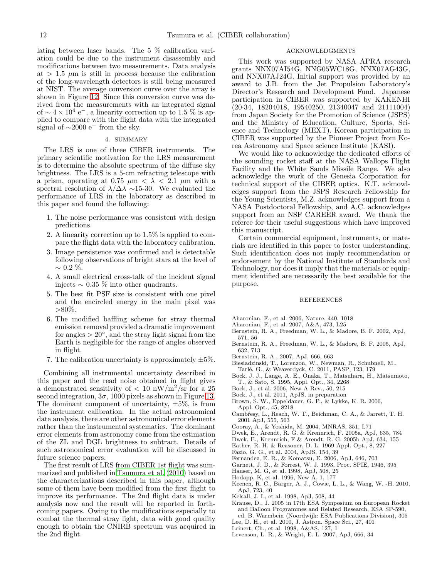lating between laser bands. The 5 % calibration variation could be due to the instrument disassembly and modifications between two measurements. Data analysis at  $> 1.5 \mu$ m is still in process because the calibration of the long-wavelength detectors is still being measured at NIST. The average conversion curve over the array is shown in Figure [12.](#page-10-1) Since this conversion curve was derived from the measurements with an integrated signal of  $\sim 4 \times 10^4$  e<sup>-</sup>, a linearity correction up to 1.5 % is applied to compare with the flight data with the integrated signal of  $\sim$ 2000 e<sup>−</sup> from the sky.

# 4. SUMMARY

<span id="page-11-16"></span>The LRS is one of three CIBER instruments. The primary scientific motivation for the LRS measurement is to determine the absolute spectrum of the diffuse sky brightness. The LRS is a 5-cm refracting telescope with a prism, operating at 0.75  $\mu$ m <  $\lambda$  < 2.1  $\mu$ m with a spectral resolution of  $\lambda/\Delta\lambda \sim 15{\text -}30$ . We evaluated the performance of LRS in the laboratory as described in this paper and found the following:

- 1. The noise performance was consistent with design predictions.
- 2. A linearity correction up to 1.5% is applied to compare the flight data with the laboratory calibration.
- 3. Image persistence was confirmed and is detectable following observations of bright stars at the level of  $∼ 0.2 %$ .
- 4. A small electrical cross-talk of the incident signal injects  $\sim 0.35$  % into other quadrants.
- 5. The best fit PSF size is consistent with one pixel and the encircled energy in the main pixel was  $>80\%$ .
- 6. The modified baffling scheme for stray thermal emission removal provided a dramatic improvement for angles  $> 20^\circ$ , and the stray light signal from the Earth is negligible for the range of angles observed in flight.
- 7. The calibration uncertainty is approximately  $\pm 5\%$ .

Combining all instrumental uncertainty described in this paper and the read noise obtained in flight gives a demonstrated sensitivity of  $< 10 \text{ nW/m}^2/\text{sr}$  for a 25 second integration,  $3\sigma$ , 1000 pixels as shown in Figure [13.](#page-10-2) The dominant component of uncertainty,  $\pm 5\%$ , is from the instrument calibration. In the actual astronomical data analysis, there are other astronomical error elements rather than the instrumental systematics. The dominant error elements from astronomy come from the estimation of the ZL and DGL brightness to subtract. Details of such astronomical error evaluation will be discussed in future science papers.

The first result of LRS from CIBER 1st flight was summarized and published in [Tsumura et al. \(2010\)](#page-12-13) based on the characterizations described in this paper, although some of them have been modified from the first flight to improve its performance. The 2nd flight data is under analysis now and the result will be reported in forthcoming papers. Owing to the modifications especially to combat the thermal stray light, data with good quality enough to obtain the CNIRB spectrum was acquired in the 2nd flight.

## ACKNOWLEDGMENTS

This work was supported by NASA APRA research grants NNX07AI54G, NNG05WC18G, NNX07AG43G, and NNX07AJ24G. Initial support was provided by an award to J.B. from the Jet Propulsion Laboratory's Director's Research and Development Fund. Japanese participation in CIBER was supported by KAKENHI (20·34, 18204018, 19540250, 21340047 and 21111004) from Japan Society for the Promotion of Science (JSPS) and the Ministry of Education, Culture, Sports, Science and Technology (MEXT). Korean participation in CIBER was supported by the Pioneer Project from Korea Astronomy and Space science Institute (KASI).

We would like to acknowledge the dedicated efforts of the sounding rocket staff at the NASA Wallops Flight Facility and the White Sands Missile Range. We also acknowledge the work of the Genesia Corporation for technical support of the CIBER optics. K.T. acknowledges support from the JSPS Research Fellowship for the Young Scientists, M.Z. acknowledges support from a NASA Postdoctoral Fellowship, and A.C. acknowledges support from an NSF CAREER award. We thank the referee for their useful suggestions which have improved this manuscript.

Certain commercial equipment, instruments, or materials are identified in this paper to foster understanding. Such identification does not imply recommendation or endorsement by the National Institute of Standards and Technology, nor does it imply that the materials or equipment identified are necessarily the best available for the purpose.

### REFERENCES

- <span id="page-11-13"></span>Aharonian, F., et al. 2006, Nature, 440, 1018
- <span id="page-11-14"></span>Aharonian, F., et al. 2007, A&A, 473, L25
- <span id="page-11-6"></span>Bernstein, R. A., Freedman, W. L., & Madore, B. F. 2002, ApJ, 571, 56
- <span id="page-11-7"></span>Bernstein, R. A., Freedman, W. L., & Madore, B. F. 2005, ApJ, 632, 713
- <span id="page-11-8"></span>Bernstein, R. A., 2007, ApJ, 666, 663
- <span id="page-11-23"></span>Biesiadzinski, T., Lorenzon, W., Newman, R., Schubnell, M., Tarlé, G., & Weaverdyck, C. 2011, PASP, 123, 179
- <span id="page-11-24"></span>Bock, J. J., Lange, A. E., Onaka, T., Matsuhara, H., Matsumoto, T., & Sato, S. 1995, Appl. Opt., 34, 2268
- <span id="page-11-15"></span>Bock, J., et al. 2006, New A Rev., 50, 215
- <span id="page-11-17"></span>Bock, J., et al. 2011, ApJS, in preparation
- <span id="page-11-26"></span>Brown, S. W., Eppeldauer, G. P., & Lykke, K. R. 2006, Appl. Opt., 45, 8218
- <span id="page-11-3"></span>Cambřesy, L., Reach, W. T., Beichman, C. A., & Jarrett, T. H. 2001 ApJ, 555, 563
- <span id="page-11-10"></span>Cooray, A., & Yoshida, M. 2004, MNRAS, 351, L71
- <span id="page-11-9"></span>Dwek, E., Arendt, R. G. & Krennrich, F. 2005a, ApJ, 635, 784
- <span id="page-11-12"></span>Dwek, E., Krennrich, F & Arendt, R. G. 2005b ApJ, 634, 155
- <span id="page-11-19"></span>Eather, R. H. & Reasoner, D. L. 1969 Appl. Opt., 8, 227
- <span id="page-11-0"></span>Fazio, G. G., et al. 2004, ApJS, 154, 39
- <span id="page-11-11"></span>Fernandez, E. R., & Komatsu, E. 2006, ApJ, 646, 703
- <span id="page-11-22"></span>Garnett, J. D., & Forrest, W. J. 1993, Proc. SPIE, 1946, 395
- <span id="page-11-2"></span>Hauser, M. G, et al. 1998, ApJ, 508, 25
- <span id="page-11-20"></span>Hodapp, K, et al. 1996, New A, 1, 177
- <span id="page-11-1"></span>Keenen, R. C., Barger, A. J., Cowie, L. L., & Wang, W. -H. 2010, ApJ, 723, 40
- <span id="page-11-4"></span>Kelsall, J. L, et al. 1998, ApJ, 508, 44
- <span id="page-11-18"></span>Krause, D., J. 2005 in 17th ESA Symposium on European Rocket and Balloon Programmes and Related Research, ESA SP-590, ed. B. Warmbein (Noordwijk: ESA Publications Division), 305
- <span id="page-11-21"></span>Lee, D. H., et al. 2010, J. Astron. Space Sci., 27, 401
- <span id="page-11-25"></span>Leinert, Ch., et al. 1998, A&AS, 127, 1
- <span id="page-11-5"></span>Levenson, L. R., & Wright, E. L. 2007, ApJ, 666, 34